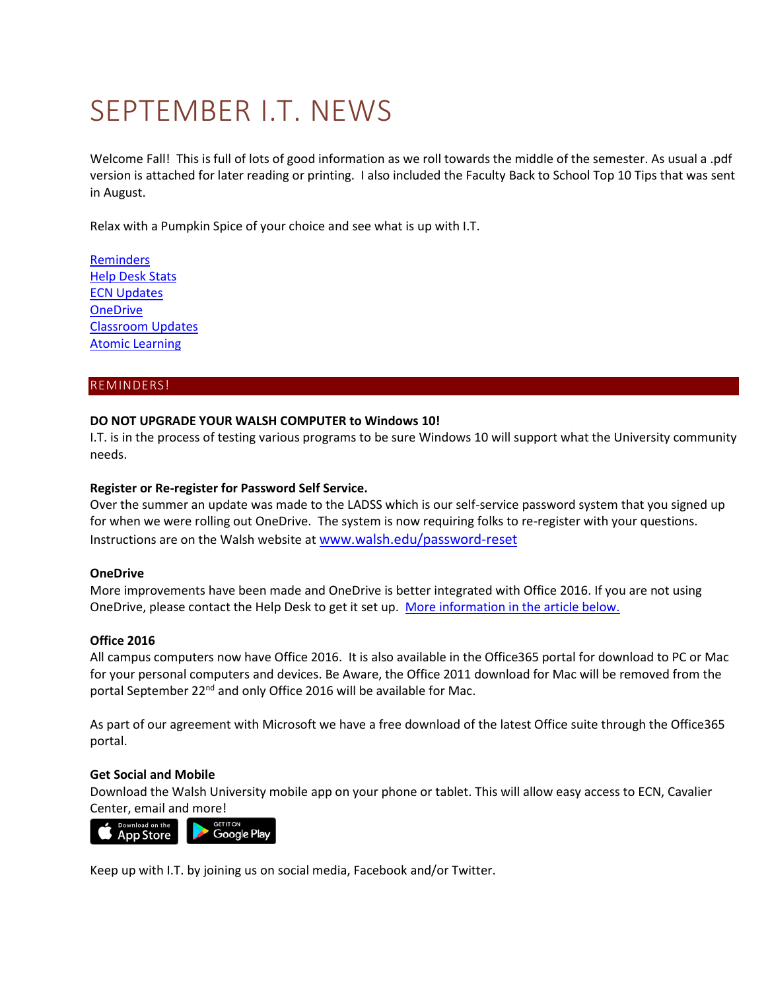# SEPTEMBER I.T. NEWS

Welcome Fall! This is full of lots of good information as we roll towards the middle of the semester. As usual a .pdf version is attached for later reading or printing. I also included the Faculty Back to School Top 10 Tips that was sent in August.

Relax with a Pumpkin Spice of your choice and see what is up with I.T.

**[Reminders](#page-1-0) [Help Desk Stats](#page-1-0)** [ECN Updates](#page-1-1) **[OneDrive](#page-3-0)** [Classroom Updates](#page-4-0) [Atomic Learning](#page-5-0)

# REMINDERS!

# **DO NOT UPGRADE YOUR WALSH COMPUTER to Windows 10!**

I.T. is in the process of testing various programs to be sure Windows 10 will support what the University community needs.

# **Register or Re-register for Password Self Service.**

Over the summer an update was made to the LADSS which is our self-service password system that you signed up for when we were rolling out OneDrive. The system is now requiring folks to re-register with your questions. Instructions are on the Walsh website at [www.walsh.edu/password-reset](http://www.walsh.edu/password-reset)

# **OneDrive**

More improvements have been made and OneDrive is better integrated with Office 2016. If you are not using OneDrive, please contact the Help Desk to get it set up. [More information in the article below.](#page-3-0)

# **Office 2016**

All campus computers now have Office 2016. It is also available in the Office365 portal for download to PC or Mac for your personal computers and devices. Be Aware, the Office 2011 download for Mac will be removed from the portal September 22<sup>nd</sup> and only Office 2016 will be available for Mac.

As part of our agreement with Microsoft we have a free download of the latest Office suite through the Office365 portal.

# **Get Social and Mobile**

Download the Walsh University mobile app on your phone or tablet. This will allow easy access to ECN, Cavalier Center, email an[d more!](https://play.google.com/store/apps/details?id=edu.walsh.walshmobile)



Keep up with I.T. by joining us on social media, Facebook and/or Twitter.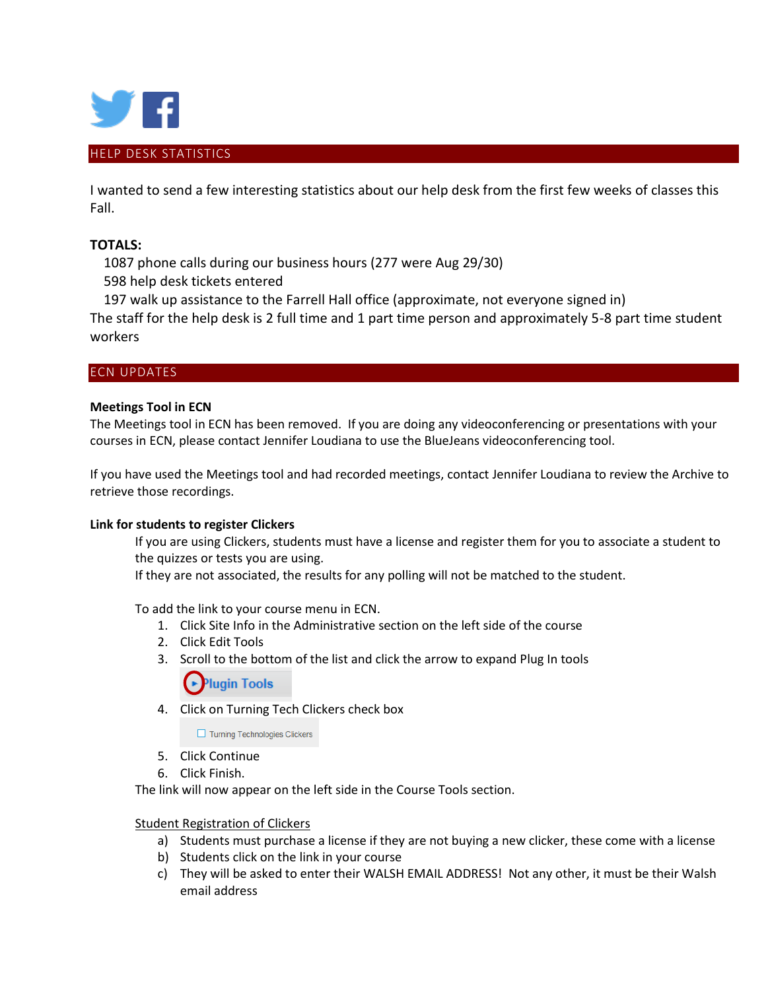

<span id="page-1-0"></span>I wanted to send a few interesting statistics about our help desk from the first few weeks of classes this Fall.

# **TOTALS:**

 1087 phone calls during our business hours (277 were Aug 29/30) 598 help desk tickets entered

197 walk up assistance to the Farrell Hall office (approximate, not everyone signed in)

The staff for the help desk is 2 full time and 1 part time person and approximately 5-8 part time student workers

# <span id="page-1-1"></span>ECN UPDATES

# **Meetings Tool in ECN**

The Meetings tool in ECN has been removed. If you are doing any videoconferencing or presentations with your courses in ECN, please contact Jennifer Loudiana to use the BlueJeans videoconferencing tool.

If you have used the Meetings tool and had recorded meetings, contact Jennifer Loudiana to review the Archive to retrieve those recordings.

# **Link for students to register Clickers**

If you are using Clickers, students must have a license and register them for you to associate a student to the quizzes or tests you are using.

If they are not associated, the results for any polling will not be matched to the student.

To add the link to your course menu in ECN.

- 1. Click Site Info in the Administrative section on the left side of the course
- 2. Click Edit Tools
- 3. Scroll to the bottom of the list and click the arrow to expand Plug In tools

**Plugin Tools** 

4. Click on Turning Tech Clickers check box

Turning Technologies Clickers

- 5. Click Continue
- 6. Click Finish.

The link will now appear on the left side in the Course Tools section.

# Student Registration of Clickers

- a) Students must purchase a license if they are not buying a new clicker, these come with a license
- b) Students click on the link in your course
- c) They will be asked to enter their WALSH EMAIL ADDRESS! Not any other, it must be their Walsh email address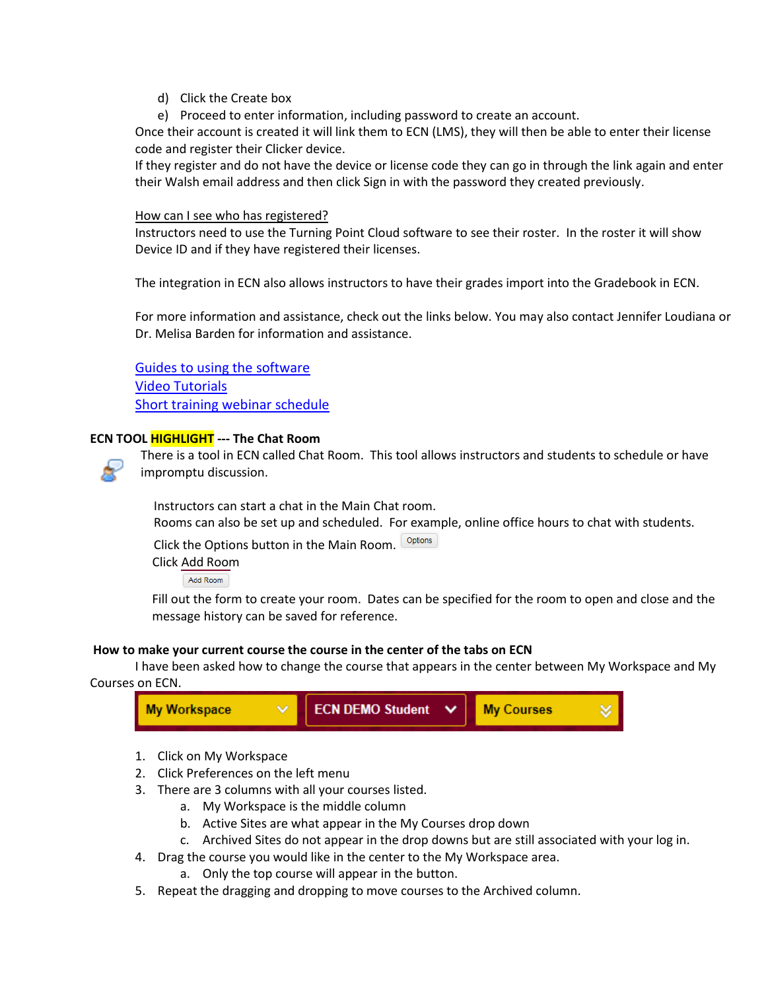- d) Click the Create box
- e) Proceed to enter information, including password to create an account.

Once their account is created it will link them to ECN (LMS), they will then be able to enter their license code and register their Clicker device.

If they register and do not have the device or license code they can go in through the link again and enter their Walsh email address and then click Sign in with the password they created previously.

# How can I see who has registered?

Instructors need to use the Turning Point Cloud software to see their roster. In the roster it will show Device ID and if they have registered their licenses.

The integration in ECN also allows instructors to have their grades import into the Gradebook in ECN.

For more information and assistance, check out the links below. You may also contact Jennifer Loudiana or Dr. Melisa Barden for information and assistance.

[Guides to using the software](https://www.turningtechnologies.com/user-guides)

[Video Tutorials](https://www.turningtechnologies.com/support/turningpoint-cloud/tutorials/educators) [Short training webinar schedule](https://www.turningtechnologies.com/support/turningpoint-cloud/online-classes/educators)

# **ECN TOOL HIGHLIGHT --- The Chat Room**



There is a tool in ECN called Chat Room. This tool allows instructors and students to schedule or have impromptu discussion.

 Instructors can start a chat in the Main Chat room. Rooms can also be set up and scheduled. For example, online office hours to chat with students.

Click the Options button in the Main Room. Options

Click Add Room

Add Room

Fill out the form to create your room. Dates can be specified for the room to open and close and the message history can be saved for reference.

# **How to make your current course the course in the center of the tabs on ECN**

I have been asked how to change the course that appears in the center between My Workspace and My Courses on ECN.



- 1. Click on My Workspace
- 2. Click Preferences on the left menu
- 3. There are 3 columns with all your courses listed.
	- a. My Workspace is the middle column
	- b. Active Sites are what appear in the My Courses drop down
	- c. Archived Sites do not appear in the drop downs but are still associated with your log in.
- 4. Drag the course you would like in the center to the My Workspace area.
	- a. Only the top course will appear in the button.
- 5. Repeat the dragging and dropping to move courses to the Archived column.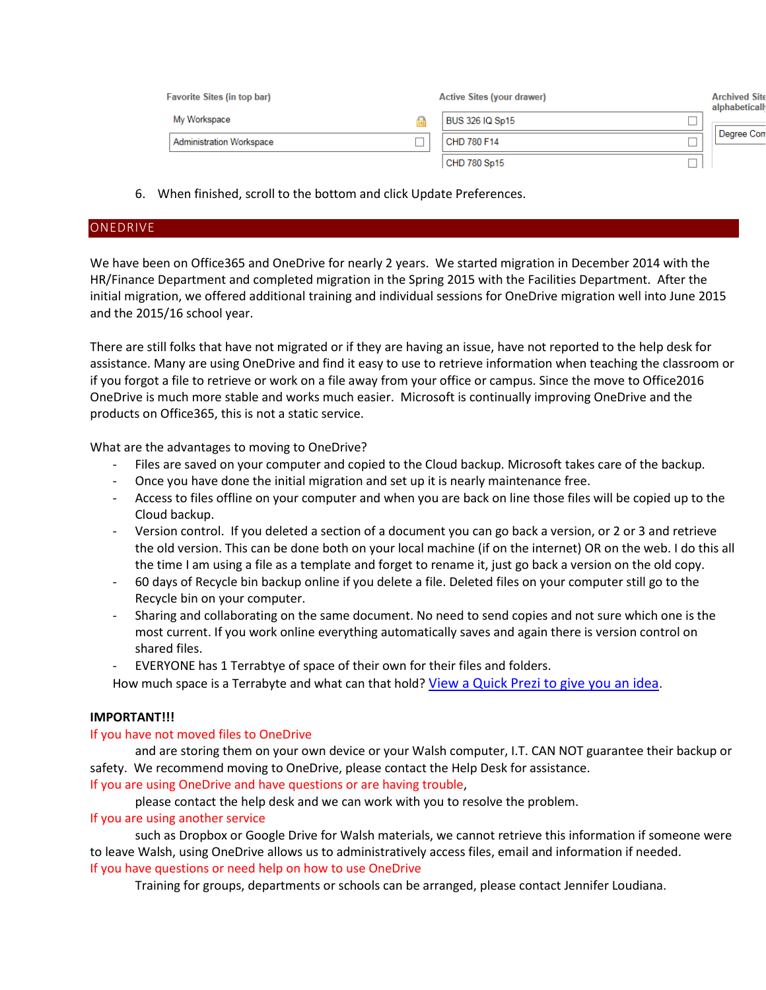| <b>Favorite Sites (in top bar)</b> |                                 |    | <b>Active Sites (your drawer)</b> |  | <b>Archived Site</b><br>alphabeticall |  |
|------------------------------------|---------------------------------|----|-----------------------------------|--|---------------------------------------|--|
|                                    | My Workspace                    | ÷. | BUS 326 IQ Sp15                   |  |                                       |  |
|                                    | <b>Administration Workspace</b> |    | CHD 780 F14                       |  | Degree Con                            |  |
|                                    |                                 |    | CHD 780 Sp15                      |  |                                       |  |

6. When finished, scroll to the bottom and click Update Preferences.

#### <span id="page-3-0"></span>**ONEDRIVE**

We have been on Office365 and OneDrive for nearly 2 years. We started migration in December 2014 with the HR/Finance Department and completed migration in the Spring 2015 with the Facilities Department. After the initial migration, we offered additional training and individual sessions for OneDrive migration well into June 2015 and the 2015/16 school year.

There are still folks that have not migrated or if they are having an issue, have not reported to the help desk for assistance. Many are using OneDrive and find it easy to use to retrieve information when teaching the classroom or if you forgot a file to retrieve or work on a file away from your office or campus. Since the move to Office2016 OneDrive is much more stable and works much easier. Microsoft is continually improving OneDrive and the products on Office365, this is not a static service.

What are the advantages to moving to OneDrive?

- Files are saved on your computer and copied to the Cloud backup. Microsoft takes care of the backup.
- Once you have done the initial migration and set up it is nearly maintenance free.
- Access to files offline on your computer and when you are back on line those files will be copied up to the Cloud backup.
- Version control. If you deleted a section of a document you can go back a version, or 2 or 3 and retrieve the old version. This can be done both on your local machine (if on the internet) OR on the web. I do this all the time I am using a file as a template and forget to rename it, just go back a version on the old copy.
- 60 days of Recycle bin backup online if you delete a file. Deleted files on your computer still go to the Recycle bin on your computer.
- Sharing and collaborating on the same document. No need to send copies and not sure which one is the most current. If you work online everything automatically saves and again there is version control on shared files.
- EVERYONE has 1 Terrabtye of space of their own for their files and folders.

How much space is a Terrabyte and what can that hold? [View a Quick Prezi to give you an idea](http://prezi.com/bqcl8ijxpurn/?utm_campaign=share&utm_medium=copy&rc=ex0share).

# **IMPORTANT!!!**

# If you have not moved files to OneDrive

and are storing them on your own device or your Walsh computer, I.T. CAN NOT guarantee their backup or safety. We recommend moving to OneDrive, please contact the Help Desk for assistance.

If you are using OneDrive and have questions or are having trouble,

please contact the help desk and we can work with you to resolve the problem.

# If you are using another service

such as Dropbox or Google Drive for Walsh materials, we cannot retrieve this information if someone were to leave Walsh, using OneDrive allows us to administratively access files, email and information if needed. If you have questions or need help on how to use OneDrive

Training for groups, departments or schools can be arranged, please contact Jennifer Loudiana.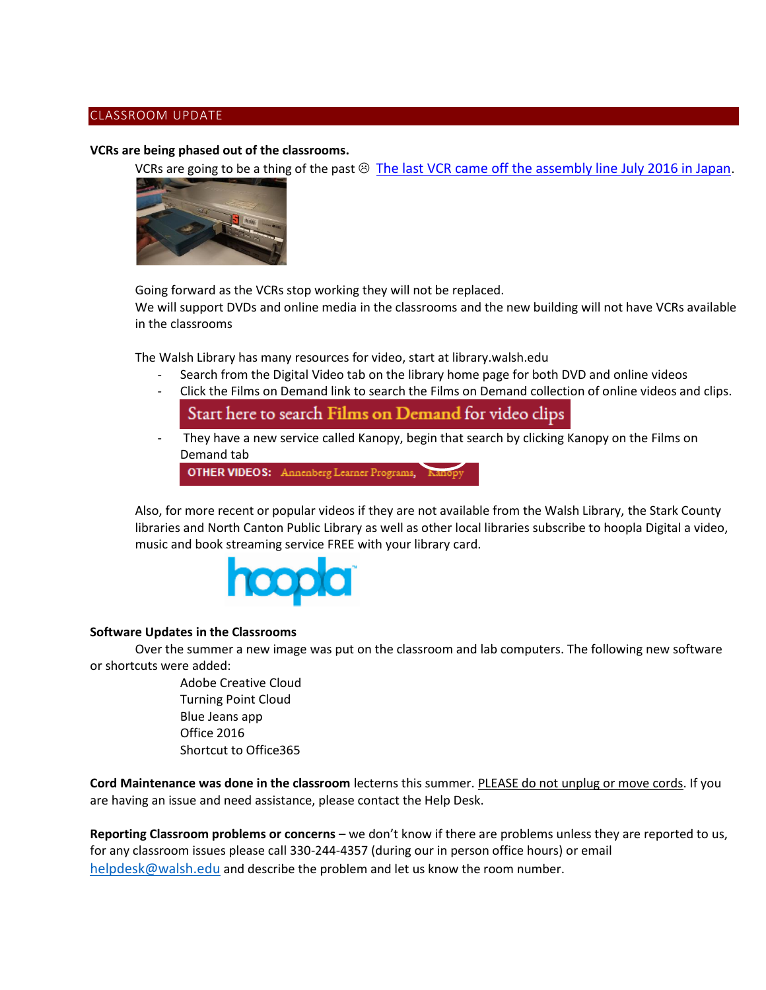# <span id="page-4-0"></span>CLASSROOM UPDATE

# **VCRs are being phased out of the classrooms.**

VCRs are going to be a thing of the past  $\circledcirc$  [The last VCR came off the assembly line July 2016 in Japan](http://www.forbes.com/sites/brittanyhodak/2016/07/23/rip-vhs-worlds-last-vcr-to-be-made-this-month/#78c838b470a2).



Going forward as the VCRs stop working they will not be replaced.

We will support DVDs and online media in the classrooms and the new building will not have VCRs available in the classrooms

The Walsh Library has many resources for video, start at library.walsh.edu

- Search from the Digital Video tab on the library home page for both DVD and online videos
- Click the Films on Demand link to search the Films on Demand collection of online videos and clips.

Start here to search Films on Demand for video clips

They have a new service called Kanopy, begin that search by clicking Kanopy on the Films on Demand tab

OTHER VIDEOS: Annenberg Learner Programs, Kanopy

Also, for more recent or popular videos if they are not available from the Walsh Library, the Stark County libraries and North Canton Public Library as well as other local libraries subscribe to hoopla Digital a video, music and book streaming service FREE with your library card.



# **Software Updates in the Classrooms**

Over the summer a new image was put on the classroom and lab computers. The following new software or shortcuts were added:

> Adobe Creative Cloud Turning Point Cloud Blue Jeans app Office 2016 Shortcut to Office365

**Cord Maintenance was done in the classroom** lecterns this summer. PLEASE do not unplug or move cords. If you are having an issue and need assistance, please contact the Help Desk.

**Reporting Classroom problems or concerns** – we don't know if there are problems unless they are reported to us, for any classroom issues please call 330-244-4357 (during our in person office hours) or email [helpdesk@walsh.edu](mailto:helpdesk@walsh.edu) and describe the problem and let us know the room number.